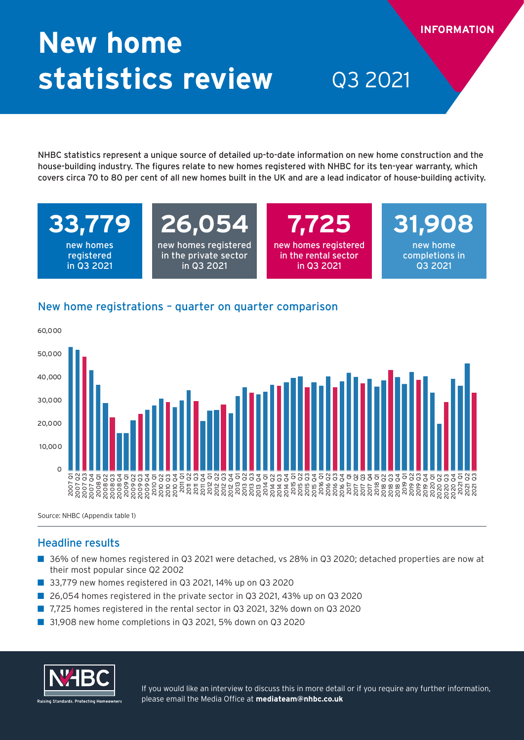# **New home statistics review** Q3 2021

NHBC statistics represent a unique source of detailed up-to-date information on new home construction and the house-building industry. The figures relate to new homes registered with NHBC for its ten-year warranty, which covers circa 70 to 80 per cent of all new homes built in the UK and are a lead indicator of house-building activity.

**33,779**  new homes

registered in Q3 2021

# **26,054**

new homes registered in the private sector in Q3 2021

**7,725**  new homes registered in the rental sector in Q3 2021

**31,908**  new home completions in

Q3 2021

**INFORMATION**

### New home registrations – quarter on quarter comparison



Source: NHBC (Appendix table 1)

### Headline results

- 36% of new homes registered in Q3 2021 were detached, vs 28% in Q3 2020; detached properties are now at their most popular since Q2 2002
- 33,779 new homes registered in Q3 2021, 14% up on Q3 2020
- 26,054 homes registered in the private sector in Q3 2021, 43% up on Q3 2020
- 7,725 homes registered in the rental sector in Q3 2021, 32% down on Q3 2020
- 31,908 new home completions in Q3 2021, 5% down on Q3 2020



If you would like an interview to discuss this in more detail or if you require any further information, please email the Media Office at **mediateam@nhbc.co.uk**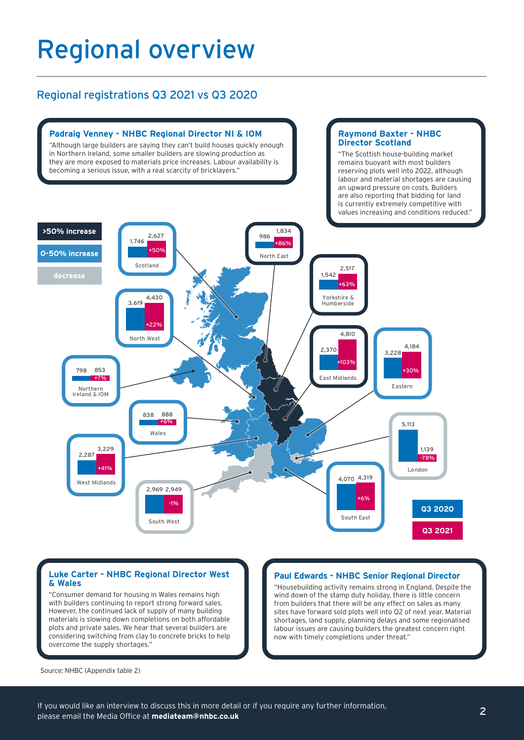## Regional overview

### Regional registrations Q3 2021 vs Q3 2020



#### **Luke Carter - NHBC Regional Director West & Wales**

"Consumer demand for housing in Wales remains high with builders continuing to report strong forward sales. However, the continued lack of supply of many building materials is slowing down completions on both affordable plots and private sales. We hear that several builders are considering switching from clay to concrete bricks to help overcome the supply shortages."

#### **Paul Edwards - NHBC Senior Regional Director**

"Housebuilding activity remains strong in England. Despite the wind down of the stamp duty holiday, there is little concern from builders that there will be any effect on sales as many sites have forward sold plots well into Q2 of next year. Material shortages, land supply, planning delays and some regionalised labour issues are causing builders the greatest concern right now with timely completions under threat."

Source: NHBC (Appendix table 2)

If you would like an interview to discuss this in more detail or if you require any further information, please email the Media Office at **mediateam@nhbc.co.uk**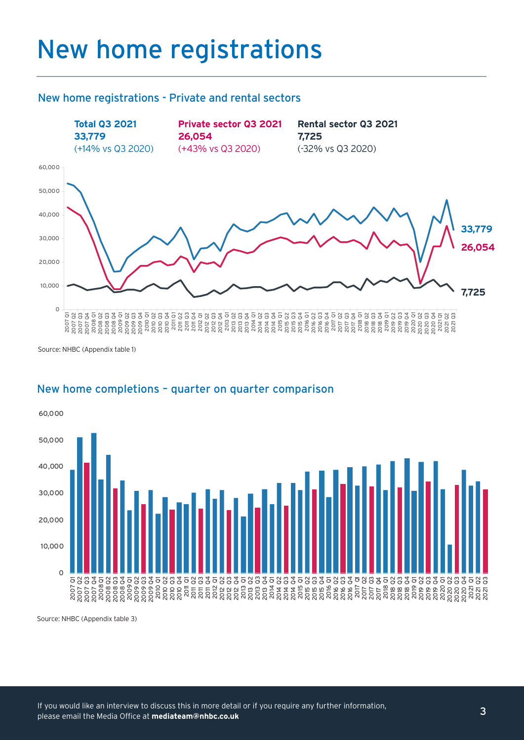## New home registrations

#### New home registrations - Private and rental sectors



Source: NHBC (Appendix table 1)



### New home completions – quarter on quarter comparison

Source: NHBC (Appendix table 3)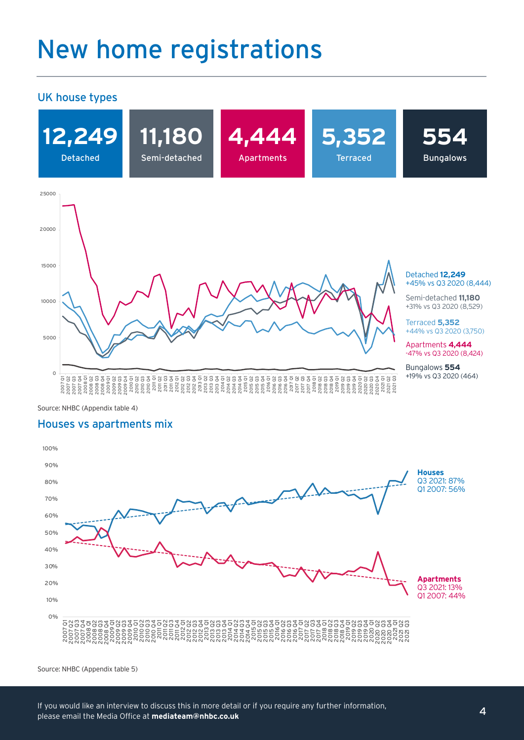## New home registrations

#### UK house types



Source: NHBC (Appendix table 4)

#### Houses vs apartments mix



Source: NHBC (Appendix table 5)

If you would like an interview to discuss this in more detail or if you require any further information, please email the Media Office at **mediateam@nhbc.co.uk**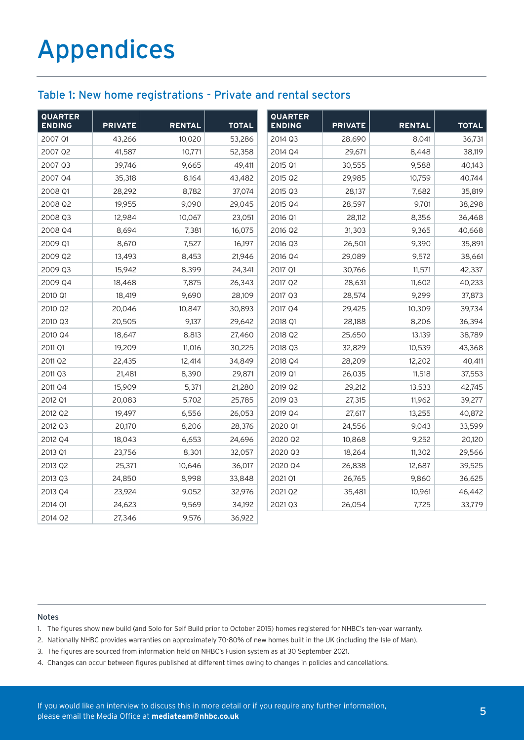### Table 1: New home registrations - Private and rental sectors

| <b>QUARTER</b><br><b>ENDING</b> | <b>PRIVATE</b> | <b>RENTAL</b> | <b>TOTAL</b> | <b>QUARTER</b><br><b>ENDING</b> | <b>PRIVATE</b> | <b>RENTAL</b> | <b>TOTAL</b> |
|---------------------------------|----------------|---------------|--------------|---------------------------------|----------------|---------------|--------------|
| 2007 Q1                         | 43,266         | 10,020        | 53,286       | 2014 Q3                         | 28,690         | 8,041         | 36,731       |
| 2007 Q2                         | 41,587         | 10,771        | 52,358       | 2014 Q4                         | 29,671         | 8,448         | 38,119       |
| 2007 Q3                         | 39,746         | 9,665         | 49,411       | 2015 Q1                         | 30,555         | 9,588         | 40,143       |
| 2007 Q4                         | 35,318         | 8,164         | 43,482       | 2015 Q2                         | 29,985         | 10,759        | 40,744       |
| 2008 Q1                         | 28,292         | 8,782         | 37,074       | 2015 Q3                         | 28,137         | 7,682         | 35,819       |
| 2008 Q2                         | 19,955         | 9,090         | 29,045       | 2015 Q4                         | 28,597         | 9,701         | 38,298       |
| 2008 Q3                         | 12,984         | 10,067        | 23,051       | 2016 Q1                         | 28,112         | 8,356         | 36,468       |
| 2008 Q4                         | 8,694          | 7,381         | 16,075       | 2016 Q2                         | 31,303         | 9,365         | 40,668       |
| 2009 Q1                         | 8,670          | 7,527         | 16,197       | 2016 Q3                         | 26,501         | 9,390         | 35,891       |
| 2009 Q2                         | 13,493         | 8,453         | 21,946       | 2016 Q4                         | 29,089         | 9,572         | 38,661       |
| 2009 Q3                         | 15,942         | 8,399         | 24,341       | 2017 Q1                         | 30,766         | 11,571        | 42,337       |
| 2009 Q4                         | 18,468         | 7,875         | 26,343       | 2017 Q2                         | 28,631         | 11,602        | 40,233       |
| 2010 Q1                         | 18,419         | 9,690         | 28,109       | 2017 Q3                         | 28,574         | 9,299         | 37,873       |
| 2010 Q2                         | 20,046         | 10,847        | 30,893       | 2017 Q4                         | 29,425         | 10,309        | 39,734       |
| 2010 Q3                         | 20,505         | 9,137         | 29,642       | 2018 Q1                         | 28,188         | 8,206         | 36,394       |
| 2010 Q4                         | 18,647         | 8,813         | 27,460       | 2018 Q2                         | 25,650         | 13,139        | 38,789       |
| 2011 Q1                         | 19,209         | 11,016        | 30,225       | 2018 Q3                         | 32,829         | 10,539        | 43,368       |
| 2011 Q2                         | 22,435         | 12,414        | 34,849       | 2018 Q4                         | 28,209         | 12,202        | 40,411       |
| 2011 Q3                         | 21,481         | 8,390         | 29,871       | 2019 Q1                         | 26,035         | 11,518        | 37,553       |
| 2011 Q4                         | 15,909         | 5,371         | 21,280       | 2019 Q2                         | 29,212         | 13,533        | 42,745       |
| 2012 Q1                         | 20,083         | 5,702         | 25,785       | 2019 Q3                         | 27,315         | 11,962        | 39,277       |
| 2012 Q2                         | 19,497         | 6,556         | 26,053       | 2019 Q4                         | 27,617         | 13,255        | 40,872       |
| 2012 Q3                         | 20,170         | 8,206         | 28,376       | 2020 Q1                         | 24,556         | 9,043         | 33,599       |
| 2012 Q4                         | 18,043         | 6,653         | 24,696       | 2020 Q2                         | 10,868         | 9,252         | 20,120       |
| 2013 Q1                         | 23,756         | 8,301         | 32,057       | 2020 Q3                         | 18,264         | 11,302        | 29,566       |
| 2013 Q2                         | 25,371         | 10,646        | 36,017       | 2020 Q4                         | 26,838         | 12,687        | 39,525       |
| 2013 Q3                         | 24,850         | 8,998         | 33,848       | 2021 Q1                         | 26,765         | 9,860         | 36,625       |
| 2013 Q4                         | 23,924         | 9,052         | 32,976       | 2021 Q2                         | 35,481         | 10,961        | 46,442       |
| 2014 Q1                         | 24,623         | 9,569         | 34,192       | 2021 Q3                         | 26,054         | 7,725         | 33,779       |
| 2014 Q2                         | 27,346         | 9,576         | 36,922       |                                 |                |               |              |

#### Notes

- 1. The figures show new build (and Solo for Self Build prior to October 2015) homes registered for NHBC's ten-year warranty.
- 2. Nationally NHBC provides warranties on approximately 70-80% of new homes built in the UK (including the Isle of Man).
- 3. The figures are sourced from information held on NHBC's Fusion system as at 30 September 2021.
- 4. Changes can occur between figures published at different times owing to changes in policies and cancellations.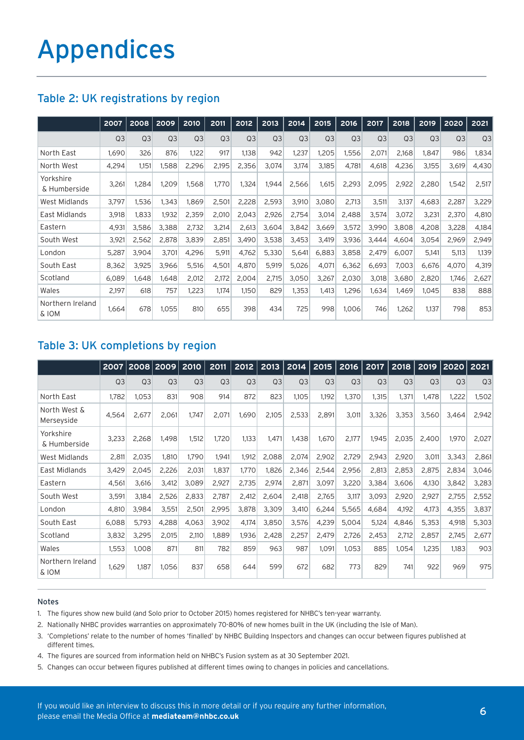### Table 2: UK registrations by region

|                           | 2007           | 2008           | 2009           | 2010           | 2011           | 2012           | 2013           | 2014           | 2015           | 2016           | 2017           | 2018           | 2019           | 2020           | 2021           |
|---------------------------|----------------|----------------|----------------|----------------|----------------|----------------|----------------|----------------|----------------|----------------|----------------|----------------|----------------|----------------|----------------|
|                           | Q <sub>3</sub> | Q <sub>3</sub> | Q <sub>3</sub> | Q <sub>3</sub> | Q <sub>3</sub> | Q <sub>3</sub> | Q <sub>3</sub> | Q <sub>3</sub> | Q <sub>3</sub> | Q <sub>3</sub> | Q <sub>3</sub> | Q <sub>3</sub> | Q <sub>3</sub> | Q <sub>3</sub> | Q <sub>3</sub> |
| North East                | 1,690          | 326            | 876            | 1,122          | 917            | 1,138          | 942            | 1,237          | 1,205          | 1,556          | 2,071          | 2,168          | 1,847          | 986            | 1,834          |
| North West                | 4,294          | 1,151          | 1.588          | 2,296          | 2,195          | 2,356          | 3,074          | 3,174          | 3,185          | 4,781          | 4,618          | 4,236          | 3,155          | 3,619          | 4,430          |
| Yorkshire<br>& Humberside | 3,261          | 1,284          | 1,209          | 1,568          | 1,770          | 1,324          | 1,944          | 2,566          | 1,615          | 2,293          | 2,095          | 2,922          | 2,280          | 1,542          | 2,517          |
| West Midlands             | 3,797          | 1,536          | 1.343          | 1,869          | 2,501          | 2,228          | 2,593          | 3,910          | 3,080          | 2.713          | 3,511          | 3,137          | 4,683          | 2,287          | 3,229          |
| East Midlands             | 3,918          | 1,833          | 1,932          | 2,359          | 2,010          | 2,043          | 2,926          | 2,754          | 3,014          | 2.488          | 3,574          | 3,072          | 3,231          | 2,370          | 4,810          |
| Eastern                   | 4,931          | 3,586          | 3,388          | 2,732          | 3,214          | 2,613          | 3,604          | 3,842          | 3,669          | 3,572          | 3,990          | 3,808          | 4,208          | 3,228          | 4,184          |
| South West                | 3,921          | 2,562          | 2,878          | 3,839          | 2,851          | 3,490          | 3,538          | 3,453          | 3,419          | 3,936          | 3,444          | 4,604          | 3,054          | 2,969          | 2,949          |
| London                    | 5,287          | 3,904          | 3,701          | 4,296          | 5,911          | 4,762          | 5,330          | 5,641          | 6,883          | 3,858          | 2,479          | 6,007          | 5,141          | 5,113          | 1,139          |
| South East                | 8,362          | 3,925          | 3,966          | 5,516          | 4,501          | 4,870          | 5,919          | 5,026          | 4,071          | 6,362          | 6,693          | 7,003          | 6,676          | 4.070          | 4,319          |
| Scotland                  | 6,089          | 1.648          | 1.648          | 2,012          | 2,172          | 2,004          | 2,715          | 3,050          | 3,267          | 2,030          | 3,018          | 3,680          | 2,820          | 1.746          | 2,627          |
| Wales                     | 2,197          | 618            | 757            | 1,223          | 1,174          | 1,150          | 829            | 1,353          | 1,413          | 1,296          | 1,634          | 1,469          | 1,045          | 838            | 888            |
| Northern Ireland<br>& IOM | 1,664          | 678            | 1.055          | 810            | 655            | 398            | 434            | 725            | 998            | 1.006          | 746            | 1,262          | 1.137          | 798            | 853            |

### Table 3: UK completions by region

|                            | 2007           |                | 2008 2009      | 2010           | 2011           | 2012           | 2013           | 2014           |                | $2015$   2016  | 2017           | 2018           | 2019           | 2020   2021    |                |
|----------------------------|----------------|----------------|----------------|----------------|----------------|----------------|----------------|----------------|----------------|----------------|----------------|----------------|----------------|----------------|----------------|
|                            | Q <sub>3</sub> | Q <sub>3</sub> | Q <sub>3</sub> | Q <sub>3</sub> | Q <sub>3</sub> | Q <sub>3</sub> | Q <sub>3</sub> | Q <sub>3</sub> | Q <sub>3</sub> | Q <sub>3</sub> | Q <sub>3</sub> | Q <sub>3</sub> | Q <sub>3</sub> | Q <sub>3</sub> | Q <sub>3</sub> |
| North East                 | 1,782          | 1,053          | 831            | 908            | 914            | 872            | 823            | 1,105          | 1,192          | 1,370          | 1,315          | 1,371          | 1,478          | 1,222          | 1,502          |
| North West &<br>Merseyside | 4,564          | 2,677          | 2.061          | 1.747          | 2,071          | 1,690          | 2,105          | 2,533          | 2.891          | 3,011          | 3,326          | 3,353          | 3,560          | 3.464          | 2,942          |
| Yorkshire<br>& Humberside  | 3,233          | 2,268          | 1.498          | 1,512          | 1,720          | 1,133          | 1,471          | 1,438          | 1,670          | 2,177          | 1,945          | 2,035          | 2,400          | 1,970          | 2,027          |
| <b>West Midlands</b>       | 2,811          | 2,035          | 1.810          | 1.790          | 1,941          | 1,912          | 2,088          | 2,074          | 2,902          | 2,729          | 2,943          | 2,920          | 3,011          | 3,343          | 2,861          |
| East Midlands              | 3,429          | 2,045          | 2,226          | 2,031          | 1,837          | 1,770          | 1,826          | 2,346          | 2,544          | 2,956          | 2,813          | 2,853          | 2,875          | 2,834          | 3,046          |
| Eastern                    | 4,561          | 3,616          | 3,412          | 3,089          | 2,927          | 2,735          | 2,974          | 2,871          | 3,097          | 3,220          | 3,384          | 3,606          | 4,130          | 3,842          | 3,283          |
| South West                 | 3,591          | 3,184          | 2,526          | 2,833          | 2,787          | 2,412          | 2,604          | 2,418          | 2,765          | 3,117          | 3,093          | 2,920          | 2,927          | 2,755          | 2,552          |
| London                     | 4,810          | 3,984          | 3,551          | 2,501          | 2,995          | 3,878          | 3,309          | 3,410          | 6,244          | 5,565          | 4,684          | 4,192          | 4,173          | 4,355          | 3,837          |
| South East                 | 6,088          | 5.793          | 4.288          | 4,063          | 3.902          | 4,174          | 3,850          | 3,576          | 4,239          | 5,004          | 5,124          | 4,846          | 5,353          | 4,918          | 5,303          |
| Scotland                   | 3,832          | 3,295          | 2,015          | 2,110          | 1,889          | 1,936          | 2,428          | 2,257          | 2,479          | 2,726          | 2,453          | 2,712          | 2,857          | 2,745          | 2,677          |
| Wales                      | 1,553          | 1,008          | 871            | 811            | 782            | 859            | 963            | 987            | 1,091          | 1,053          | 885            | 1,054          | 1,235          | 1.183          | 903            |
| Northern Ireland<br>& IOM  | 1,629          | 1,187          | 1,056          | 837            | 658            | 644            | 599            | 672            | 682            | 773            | 829            | 741            | 922            | 969            | 975            |

#### Notes

- 1. The figures show new build (and Solo prior to October 2015) homes registered for NHBC's ten-year warranty.
- 2. Nationally NHBC provides warranties on approximately 70-80% of new homes built in the UK (including the Isle of Man).
- 3. 'Completions' relate to the number of homes 'finalled' by NHBC Building Inspectors and changes can occur between figures published at different times.
- 4. The figures are sourced from information held on NHBC's Fusion system as at 30 September 2021.
- 5. Changes can occur between figures published at different times owing to changes in policies and cancellations.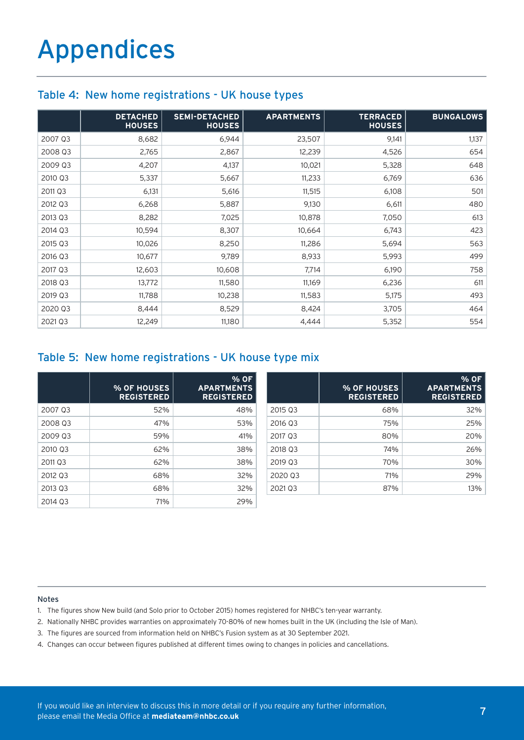#### Table 4: New home registrations - UK house types

|         | <b>DETACHED</b><br><b>HOUSES</b> | <b>SEMI-DETACHED</b><br><b>HOUSES</b> | <b>APARTMENTS</b> | <b>TERRACED</b><br><b>HOUSES</b> | <b>BUNGALOWS</b> |
|---------|----------------------------------|---------------------------------------|-------------------|----------------------------------|------------------|
| 2007 Q3 | 8,682                            | 6,944                                 | 23,507            | 9,141                            | 1,137            |
| 2008 Q3 | 2,765                            | 2,867                                 | 12,239            | 4,526                            | 654              |
| 2009 Q3 | 4,207                            | 4,137                                 | 10,021            | 5,328                            | 648              |
| 2010 Q3 | 5,337                            | 5,667                                 | 11,233            | 6,769                            | 636              |
| 2011 Q3 | 6,131                            | 5,616                                 | 11,515            | 6,108                            | 501              |
| 2012 Q3 | 6,268                            | 5,887                                 | 9,130             | 6,611                            | 480              |
| 2013 Q3 | 8,282                            | 7,025                                 | 10,878            | 7,050                            | 613              |
| 2014 Q3 | 10,594                           | 8,307                                 | 10,664            | 6,743                            | 423              |
| 2015 Q3 | 10,026                           | 8,250                                 | 11,286            | 5,694                            | 563              |
| 2016 Q3 | 10,677                           | 9,789                                 | 8,933             | 5,993                            | 499              |
| 2017 Q3 | 12,603                           | 10,608                                | 7,714             | 6,190                            | 758              |
| 2018 Q3 | 13,772                           | 11,580                                | 11,169            | 6,236                            | 611              |
| 2019 Q3 | 11,788                           | 10,238                                | 11,583            | 5,175                            | 493              |
| 2020 Q3 | 8,444                            | 8,529                                 | 8,424             | 3,705                            | 464              |
| 2021 Q3 | 12,249                           | 11,180                                | 4,444             | 5,352                            | 554              |

#### Table 5: New home registrations - UK house type mix

|         | % OF HOUSES<br><b>REGISTERED</b> | % OF<br><b>APARTMENTS</b><br><b>REGISTERED</b> |         | % OF HOUSES<br><b>REGISTERED</b> | % OF<br><b>APARTMENTS</b><br><b>REGISTERED</b> |
|---------|----------------------------------|------------------------------------------------|---------|----------------------------------|------------------------------------------------|
| 2007 03 | 52%                              | 48%                                            | 2015 03 | 68%                              | 32%                                            |
| 2008 03 | 47%                              | 53%                                            | 2016 Q3 | 75%                              | 25%                                            |
| 2009 03 | 59%                              | 41%                                            | 2017 03 | 80%                              | 20%                                            |
| 2010 Q3 | 62%                              | 38%                                            | 2018 03 | 74%                              | 26%                                            |
| 2011 03 | 62%                              | 38%                                            | 2019 03 | 70%                              | 30%                                            |
| 2012 Q3 | 68%                              | 32%                                            | 2020 Q3 | 71%                              | 29%                                            |
| 2013 03 | 68%                              | 32%                                            | 2021 03 | 87%                              | 13%                                            |
| 2014 Q3 | 71%                              | 29%                                            |         |                                  |                                                |

#### Notes

- 1. The figures show New build (and Solo prior to October 2015) homes registered for NHBC's ten-year warranty.
- 2. Nationally NHBC provides warranties on approximately 70-80% of new homes built in the UK (including the Isle of Man).
- 3. The figures are sourced from information held on NHBC's Fusion system as at 30 September 2021.
- 4. Changes can occur between figures published at different times owing to changes in policies and cancellations.